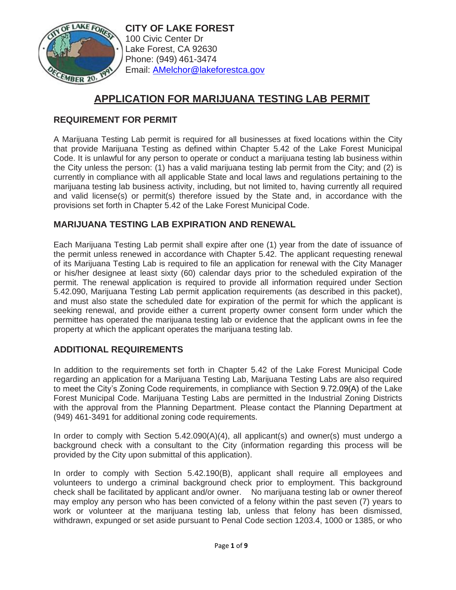

**CITY OF LAKE FOREST** 100 Civic Center Dr Lake Forest, CA 92630 Phone: (949) 461-3474 Email: [AMelchor@lakeforestca.gov](mailto:AMelchor@lakeforestca.gov)

# **APPLICATION FOR MARIJUANA TESTING LAB PERMIT**

# **REQUIREMENT FOR PERMIT**

A Marijuana Testing Lab permit is required for all businesses at fixed locations within the City that provide Marijuana Testing as defined within Chapter 5.42 of the Lake Forest Municipal Code. It is unlawful for any person to operate or conduct a marijuana testing lab business within the City unless the person: (1) has a valid marijuana testing lab permit from the City; and (2) is currently in compliance with all applicable State and local laws and regulations pertaining to the marijuana testing lab business activity, including, but not limited to, having currently all required and valid license(s) or permit(s) therefore issued by the State and, in accordance with the provisions set forth in Chapter 5.42 of the Lake Forest Municipal Code.

## **MARIJUANA TESTING LAB EXPIRATION AND RENEWAL**

Each Marijuana Testing Lab permit shall expire after one (1) year from the date of issuance of the permit unless renewed in accordance with Chapter 5.42. The applicant requesting renewal of its Marijuana Testing Lab is required to file an application for renewal with the City Manager or his/her designee at least sixty (60) calendar days prior to the scheduled expiration of the permit. The renewal application is required to provide all information required under Section 5.42.090, Marijuana Testing Lab permit application requirements (as described in this packet), and must also state the scheduled date for expiration of the permit for which the applicant is seeking renewal, and provide either a current property owner consent form under which the permittee has operated the marijuana testing lab or evidence that the applicant owns in fee the property at which the applicant operates the marijuana testing lab.

## **ADDITIONAL REQUIREMENTS**

In addition to the requirements set forth in Chapter 5.42 of the Lake Forest Municipal Code regarding an application for a Marijuana Testing Lab, Marijuana Testing Labs are also required to meet the City's Zoning Code requirements, in compliance with Section 9.72.09(A) of the Lake Forest Municipal Code. Marijuana Testing Labs are permitted in the Industrial Zoning Districts with the approval from the Planning Department. Please contact the Planning Department at (949) 461-3491 for additional zoning code requirements.

In order to comply with Section 5.42.090(A)(4), all applicant(s) and owner(s) must undergo a background check with a consultant to the City (information regarding this process will be provided by the City upon submittal of this application).

In order to comply with Section 5.42.190(B), applicant shall require all employees and volunteers to undergo a criminal background check prior to employment. This background check shall be facilitated by applicant and/or owner. No marijuana testing lab or owner thereof may employ any person who has been convicted of a felony within the past seven (7) years to work or volunteer at the marijuana testing lab, unless that felony has been dismissed, withdrawn, expunged or set aside pursuant to Penal Code section 1203.4, 1000 or 1385, or who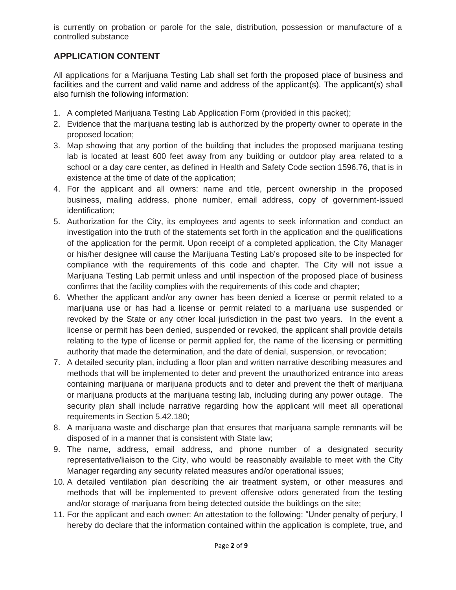is currently on probation or parole for the sale, distribution, possession or manufacture of a controlled substance

# **APPLICATION CONTENT**

All applications for a Marijuana Testing Lab shall set forth the proposed place of business and facilities and the current and valid name and address of the applicant(s). The applicant(s) shall also furnish the following information:

- 1. A completed Marijuana Testing Lab Application Form (provided in this packet);
- 2. Evidence that the marijuana testing lab is authorized by the property owner to operate in the proposed location;
- 3. Map showing that any portion of the building that includes the proposed marijuana testing lab is located at least 600 feet away from any building or outdoor play area related to a school or a day care center, as defined in Health and Safety Code section 1596.76, that is in existence at the time of date of the application;
- 4. For the applicant and all owners: name and title, percent ownership in the proposed business, mailing address, phone number, email address, copy of government-issued identification;
- 5. Authorization for the City, its employees and agents to seek information and conduct an investigation into the truth of the statements set forth in the application and the qualifications of the application for the permit. Upon receipt of a completed application, the City Manager or his/her designee will cause the Marijuana Testing Lab's proposed site to be inspected for compliance with the requirements of this code and chapter. The City will not issue a Marijuana Testing Lab permit unless and until inspection of the proposed place of business confirms that the facility complies with the requirements of this code and chapter;
- 6. Whether the applicant and/or any owner has been denied a license or permit related to a marijuana use or has had a license or permit related to a marijuana use suspended or revoked by the State or any other local jurisdiction in the past two years. In the event a license or permit has been denied, suspended or revoked, the applicant shall provide details relating to the type of license or permit applied for, the name of the licensing or permitting authority that made the determination, and the date of denial, suspension, or revocation;
- 7. A detailed security plan, including a floor plan and written narrative describing measures and methods that will be implemented to deter and prevent the unauthorized entrance into areas containing marijuana or marijuana products and to deter and prevent the theft of marijuana or marijuana products at the marijuana testing lab, including during any power outage. The security plan shall include narrative regarding how the applicant will meet all operational requirements in Section 5.42.180;
- 8. A marijuana waste and discharge plan that ensures that marijuana sample remnants will be disposed of in a manner that is consistent with State law;
- 9. The name, address, email address, and phone number of a designated security representative/liaison to the City, who would be reasonably available to meet with the City Manager regarding any security related measures and/or operational issues;
- 10. A detailed ventilation plan describing the air treatment system, or other measures and methods that will be implemented to prevent offensive odors generated from the testing and/or storage of marijuana from being detected outside the buildings on the site;
- 11. For the applicant and each owner: An attestation to the following: "Under penalty of perjury, I hereby do declare that the information contained within the application is complete, true, and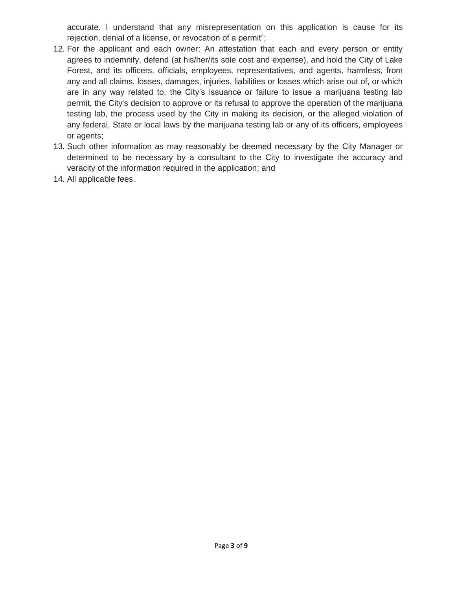accurate. I understand that any misrepresentation on this application is cause for its rejection, denial of a license, or revocation of a permit";

- 12. For the applicant and each owner: An attestation that each and every person or entity agrees to indemnify, defend (at his/her/its sole cost and expense), and hold the City of Lake Forest, and its officers, officials, employees, representatives, and agents, harmless, from any and all claims, losses, damages, injuries, liabilities or losses which arise out of, or which are in any way related to, the City's issuance or failure to issue a marijuana testing lab permit, the City's decision to approve or its refusal to approve the operation of the marijuana testing lab, the process used by the City in making its decision, or the alleged violation of any federal, State or local laws by the marijuana testing lab or any of its officers, employees or agents;
- 13. Such other information as may reasonably be deemed necessary by the City Manager or determined to be necessary by a consultant to the City to investigate the accuracy and veracity of the information required in the application; and
- 14. All applicable fees.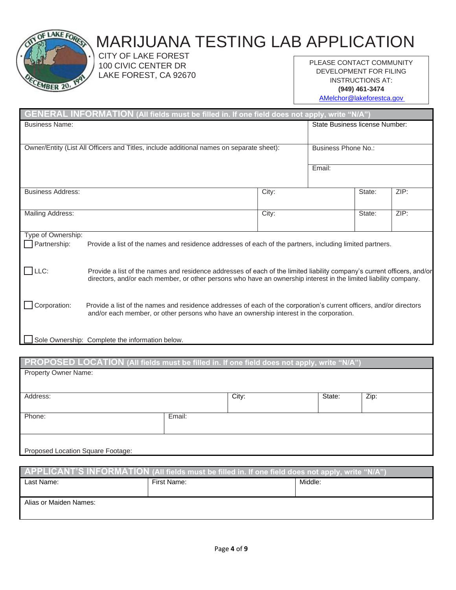

# MARIJUANA TESTING LAB APPLICATION

 CITY OF LAKE FOREST 100 CIVIC CENTER DR LAKE FOREST, CA 92670

PLEASE CONTACT COMMUNITY DEVELOPMENT FOR FILING INSTRUCTIONS AT: **(949) 461-3474**

[AMelchor@lakeforestca.gov](mailto:AMelchor@lakeforestca.gov)

|                          | GENERAL INFORMATION (All fields must be filled in. If one field does not apply, write "N/A")                                                                                                                                                |       |                                |        |      |
|--------------------------|---------------------------------------------------------------------------------------------------------------------------------------------------------------------------------------------------------------------------------------------|-------|--------------------------------|--------|------|
| <b>Business Name:</b>    |                                                                                                                                                                                                                                             |       | State Business license Number: |        |      |
|                          |                                                                                                                                                                                                                                             |       |                                |        |      |
|                          | Owner/Entity (List All Officers and Titles, include additional names on separate sheet):                                                                                                                                                    |       | Business Phone No.:            |        |      |
|                          |                                                                                                                                                                                                                                             |       | Email:                         |        |      |
|                          |                                                                                                                                                                                                                                             |       |                                |        |      |
| <b>Business Address:</b> |                                                                                                                                                                                                                                             | City: |                                | State: | ZIP: |
|                          |                                                                                                                                                                                                                                             |       |                                |        |      |
| <b>Mailing Address:</b>  |                                                                                                                                                                                                                                             | City: |                                | State: | ZIP: |
| Type of Ownership:       |                                                                                                                                                                                                                                             |       |                                |        |      |
| Partnership:             | Provide a list of the names and residence addresses of each of the partners, including limited partners.                                                                                                                                    |       |                                |        |      |
|                          |                                                                                                                                                                                                                                             |       |                                |        |      |
| $\Box$ LLC:              | Provide a list of the names and residence addresses of each of the limited liability company's current officers, and/or<br>directors, and/or each member, or other persons who have an ownership interest in the limited liability company. |       |                                |        |      |
|                          |                                                                                                                                                                                                                                             |       |                                |        |      |
| Corporation:             | Provide a list of the names and residence addresses of each of the corporation's current officers, and/or directors                                                                                                                         |       |                                |        |      |
|                          | and/or each member, or other persons who have an ownership interest in the corporation.                                                                                                                                                     |       |                                |        |      |
|                          |                                                                                                                                                                                                                                             |       |                                |        |      |
|                          | Sole Ownership: Complete the information below.                                                                                                                                                                                             |       |                                |        |      |

#### **PROPOSED LOCATION (All fields must be filled in. If one field does not apply, write "N/A")** Property Owner Name:

| Address:                          |        | City: | State: | Zip: |
|-----------------------------------|--------|-------|--------|------|
|                                   |        |       |        |      |
| Phone:                            | Email: |       |        |      |
|                                   |        |       |        |      |
|                                   |        |       |        |      |
| Proposed Location Square Footage: |        |       |        |      |

| $\overline{APPLICANT'S INFORMATION}$ (All fields must be filled in. If one field does not apply, write "N/A") |             |         |  |  |  |
|---------------------------------------------------------------------------------------------------------------|-------------|---------|--|--|--|
| Last Name:                                                                                                    | First Name: | Middle: |  |  |  |
|                                                                                                               |             |         |  |  |  |
| Alias or Maiden Names:                                                                                        |             |         |  |  |  |
|                                                                                                               |             |         |  |  |  |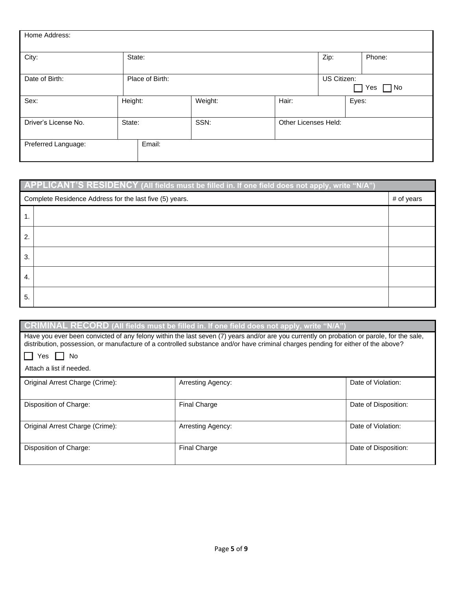| Home Address:                  |                 |        |                                        |                      |      |        |
|--------------------------------|-----------------|--------|----------------------------------------|----------------------|------|--------|
| City:                          | State:          |        |                                        |                      | Zip: | Phone: |
| Date of Birth:                 | Place of Birth: |        | US Citizen:<br>$\Box$ No<br>Yes<br>- 1 |                      |      |        |
| Sex:                           | Height:         |        | Weight:                                | Hair:                |      | Eyes:  |
| Driver's License No.<br>State: |                 |        | SSN:                                   | Other Licenses Held: |      |        |
| Preferred Language:            |                 | Email: |                                        |                      |      |        |

|    | APPLICANT'S RESIDENCY (All fields must be filled in. If one field does not apply, write "N/A") |  |  |  |  |
|----|------------------------------------------------------------------------------------------------|--|--|--|--|
|    | Complete Residence Address for the last five (5) years.<br># of years                          |  |  |  |  |
|    |                                                                                                |  |  |  |  |
| 2. |                                                                                                |  |  |  |  |
| 3. |                                                                                                |  |  |  |  |
| 4. |                                                                                                |  |  |  |  |
| 5. |                                                                                                |  |  |  |  |

|                                 | CRIMINAL RECORD (All fields must be filled in. If one field does not apply, write "N/A")                                                                                                                                                                                      |                      |  |  |  |  |
|---------------------------------|-------------------------------------------------------------------------------------------------------------------------------------------------------------------------------------------------------------------------------------------------------------------------------|----------------------|--|--|--|--|
|                                 | Have you ever been convicted of any felony within the last seven (7) years and/or are you currently on probation or parole, for the sale,<br>distribution, possession, or manufacture of a controlled substance and/or have criminal charges pending for either of the above? |                      |  |  |  |  |
| No<br>Yes                       |                                                                                                                                                                                                                                                                               |                      |  |  |  |  |
| Attach a list if needed.        |                                                                                                                                                                                                                                                                               |                      |  |  |  |  |
| Original Arrest Charge (Crime): | Arresting Agency:                                                                                                                                                                                                                                                             | Date of Violation:   |  |  |  |  |
| Disposition of Charge:          | <b>Final Charge</b>                                                                                                                                                                                                                                                           | Date of Disposition: |  |  |  |  |
| Original Arrest Charge (Crime): | Arresting Agency:                                                                                                                                                                                                                                                             | Date of Violation:   |  |  |  |  |
| Disposition of Charge:          | <b>Final Charge</b>                                                                                                                                                                                                                                                           | Date of Disposition: |  |  |  |  |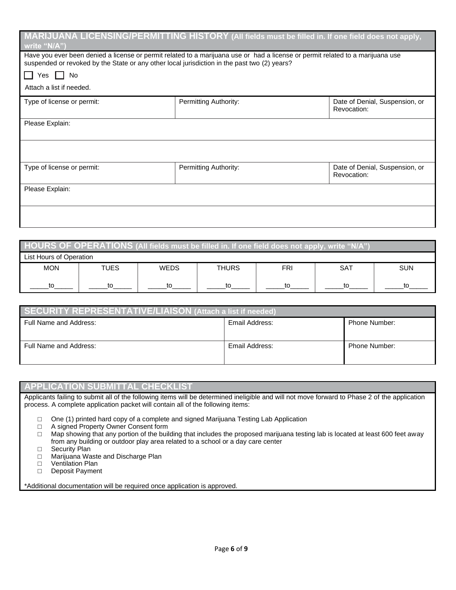| write "N/A")                                                                                                                                                                                                                   |                       | MARIJUANA LICENSING/PERMITTING HISTORY (All fields must be filled in. If one field does not apply, |  |  |  |  |
|--------------------------------------------------------------------------------------------------------------------------------------------------------------------------------------------------------------------------------|-----------------------|----------------------------------------------------------------------------------------------------|--|--|--|--|
| Have you ever been denied a license or permit related to a marijuana use or had a license or permit related to a marijuana use<br>suspended or revoked by the State or any other local jurisdiction in the past two (2) years? |                       |                                                                                                    |  |  |  |  |
| Yes I I No                                                                                                                                                                                                                     |                       |                                                                                                    |  |  |  |  |
| Attach a list if needed.                                                                                                                                                                                                       |                       |                                                                                                    |  |  |  |  |
| Type of license or permit:                                                                                                                                                                                                     | Permitting Authority: | Date of Denial, Suspension, or<br>Revocation:                                                      |  |  |  |  |
| Please Explain:                                                                                                                                                                                                                |                       |                                                                                                    |  |  |  |  |
|                                                                                                                                                                                                                                |                       |                                                                                                    |  |  |  |  |
| Type of license or permit:                                                                                                                                                                                                     | Permitting Authority: | Date of Denial, Suspension, or<br>Revocation:                                                      |  |  |  |  |
| Please Explain:                                                                                                                                                                                                                |                       |                                                                                                    |  |  |  |  |
|                                                                                                                                                                                                                                |                       |                                                                                                    |  |  |  |  |

| $\,$ <code>HOURS OF OPERATIONS</code> (All fields must be filled in. If one field does not apply, write "N/A"), |                       |             |              |            |            |            |
|-----------------------------------------------------------------------------------------------------------------|-----------------------|-------------|--------------|------------|------------|------------|
| List Hours of Operation                                                                                         |                       |             |              |            |            |            |
| <b>MON</b>                                                                                                      | <b>TUES</b>           | <b>WEDS</b> | <b>THURS</b> | <b>FRI</b> | <b>SAT</b> | <b>SUN</b> |
| to                                                                                                              | tΩ<br>t٥<br>tΩ<br>τ∩. |             |              |            |            |            |

| <b>SECURITY REPRESENTATIVE/LIAISON (Attach a list if needed)</b> |                |               |  |
|------------------------------------------------------------------|----------------|---------------|--|
| Full Name and Address:<br>Email Address:<br>Phone Number:        |                |               |  |
|                                                                  |                |               |  |
| Full Name and Address:                                           | Email Address: | Phone Number: |  |
|                                                                  |                |               |  |

#### **APPLICATION SUBMITTAL CHECKLIST**

Applicants failing to submit all of the following items will be determined ineligible and will not move forward to Phase 2 of the application process. A complete application packet will contain all of the following items:

□ One (1) printed hard copy of a complete and signed Marijuana Testing Lab Application

□ A signed Property Owner Consent form

□ Map showing that any portion of the building that includes the proposed marijuana testing lab is located at least 600 feet away from any building or outdoor play area related to a school or a day care center

□ Security Plan

□ Marijuana Waste and Discharge Plan

□ Ventilation Plan<br>□ Deposit Paymer

Deposit Payment

\*Additional documentation will be required once application is approved.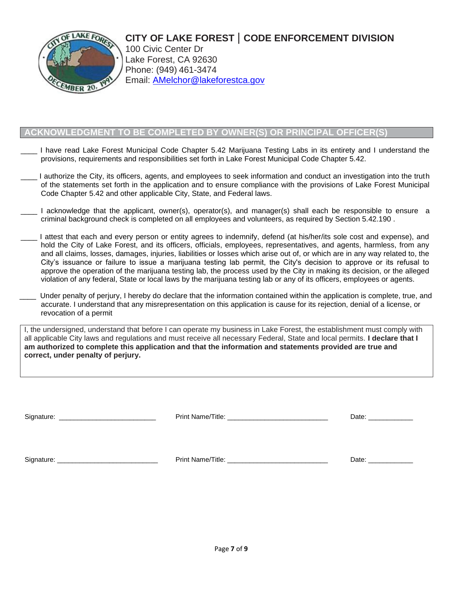# **CITY OF LAKE FOREST** | **CODE ENFORCEMENT DIVISION**



100 Civic Center Dr Lake Forest, CA 92630 Phone: (949) 461-3474 Email: [AMelchor@lakeforestca.gov](mailto:AMelchor@lakeforestca.gov)

## **OWLEDGMENT TO BE COMPLETED BY OWNER(S) OR PRINCIPAL OFFICER**

- I have read Lake Forest Municipal Code Chapter 5.42 Marijuana Testing Labs in its entirety and I understand the provisions, requirements and responsibilities set forth in Lake Forest Municipal Code Chapter 5.42.
- \_\_\_\_ I authorize the City, its officers, agents, and employees to seek information and conduct an investigation into the truth of the statements set forth in the application and to ensure compliance with the provisions of Lake Forest Municipal Code Chapter 5.42 and other applicable City, State, and Federal laws.
- I acknowledge that the applicant, owner(s), operator(s), and manager(s) shall each be responsible to ensure a criminal background check is completed on all employees and volunteers, as required by Section 5.42.190 .
- I attest that each and every person or entity agrees to indemnify, defend (at his/her/its sole cost and expense), and hold the City of Lake Forest, and its officers, officials, employees, representatives, and agents, harmless, from any and all claims, losses, damages, injuries, liabilities or losses which arise out of, or which are in any way related to, the City's issuance or failure to issue a marijuana testing lab permit, the City's decision to approve or its refusal to approve the operation of the marijuana testing lab, the process used by the City in making its decision, or the alleged violation of any federal, State or local laws by the marijuana testing lab or any of its officers, employees or agents.
- Under penalty of perjury, I hereby do declare that the information contained within the application is complete, true, and accurate. I understand that any misrepresentation on this application is cause for its rejection, denial of a license, or revocation of a permit

I, the undersigned, understand that before I can operate my business in Lake Forest, the establishment must comply with all applicable City laws and regulations and must receive all necessary Federal, State and local permits. **I declare that I am authorized to complete this application and that the information and statements provided are true and correct, under penalty of perjury.**

| Signature:<br><u> 2008 - Johann John Harry Harry Harry Harry Harry Harry Harry Harry Harry Harry Harry Harry Harry Harry Harry Harry Harry Harry Harry Harry Harry Harry Harry Harry Harry Harry Harry Harry Harry Harry Harry Harry Harry Har</u> |                   | Date: |
|----------------------------------------------------------------------------------------------------------------------------------------------------------------------------------------------------------------------------------------------------|-------------------|-------|
| Signature:                                                                                                                                                                                                                                         | Print Name/Title: | Date: |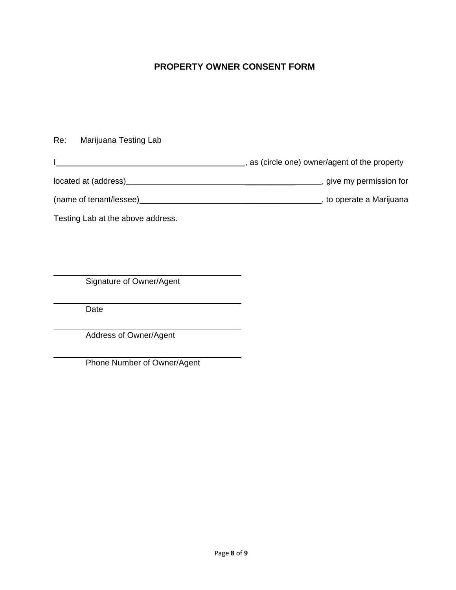# **PROPERTY OWNER CONSENT FORM**

I , as (circle one) owner/agent of the property located at (address) \_\_\_\_\_\_\_\_\_\_\_ , give my permission for (name of tenant/lessee) \_\_\_\_\_\_\_\_ , to operate a Marijuana

Testing Lab at the above address.

Re: Marijuana Testing Lab

Signature of Owner/Agent

Date

Address of Owner/Agent

Phone Number of Owner/Agent